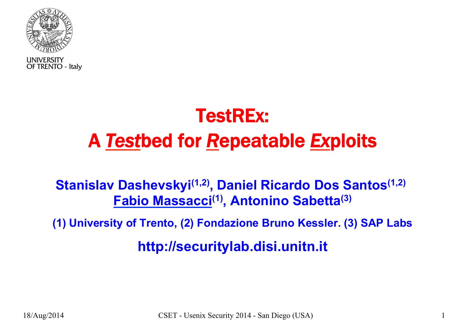

**UNIVERSITY** OF TRENTO - Italy

## TestREx: A *Test*bed for *R*epeatable *Ex*ploits

#### **Stanislav Dashevskyi(1,2), Daniel Ricardo Dos Santos(1,2) Fabio Massacci(1), Antonino Sabetta(3)**

**(1) University of Trento, (2) Fondazione Bruno Kessler. (3) SAP Labs**

**http://securitylab.disi.unitn.it**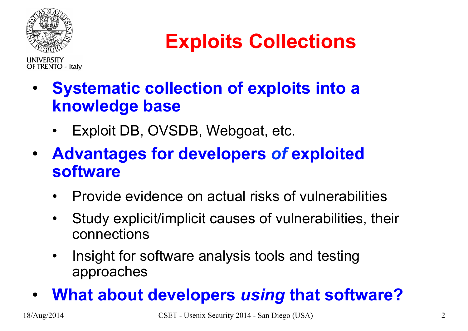

## **Exploits Collections**

**LINIVERSITY OF TRENTO - Italy** 

- **Systematic collection of exploits into a knowledge base** 
	- Exploit DB, OVSDB, Webgoat, etc.
- **Advantages for developers** *of* **exploited software** 
	- Provide evidence on actual risks of vulnerabilities
	- Study explicit/implicit causes of vulnerabilities, their connections
	- Insight for software analysis tools and testing approaches

#### • **What about developers** *using* **that software?**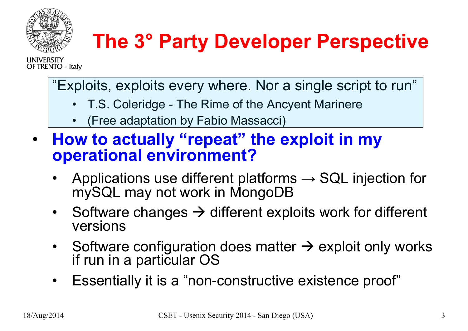

# **The 3° Party Developer Perspective**

**LINIVERSITY OF TRENTO - Italy** 

"Exploits, exploits every where. Nor a single script to run"

- T.S. Coleridge The Rime of the Ancyent Marinere
- (Free adaptation by Fabio Massacci)
- **How to actually "repeat" the exploit in my operational environment?** 
	- Applications use different platforms  $\rightarrow$  SQL injection for mySQL may not work in MongoDB
	- Software changes  $\rightarrow$  different exploits work for different versions
	- Software configuration does matter  $\rightarrow$  exploit only works if run in a particular OS
	- Essentially it is a "non-constructive existence proof"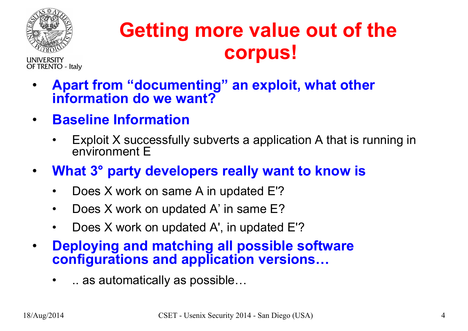

**LINIVERSITY** 

**OF TRENTO - Italy** 

**Getting more value out of the corpus!**

- **Apart from "documenting" an exploit, what other information do we want?**
- **Baseline Information** 
	- Exploit X successfully subverts a application A that is running in environment E
- **What 3° party developers really want to know is** 
	- Does X work on same A in updated E'?
	- Does X work on updated A' in same E?
	- Does X work on updated A', in updated E'?
- **Deploying and matching all possible software configurations and application versions…**
	- .. as automatically as possible…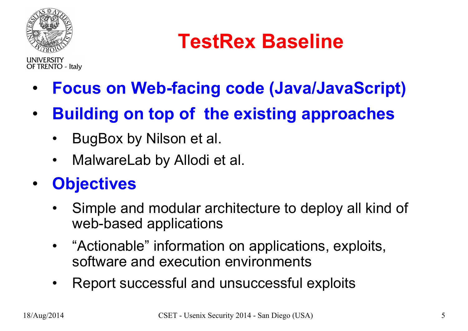

**UNIVERSITY** 

**OF TRENTO - Italy** 

**TestRex Baseline** 

• **Focus on Web-facing code (Java/JavaScript)** 

- **Building on top of the existing approaches** 
	- BugBox by Nilson et al.
	- MalwareLab by Allodi et al.

#### • **Objectives**

- Simple and modular architecture to deploy all kind of web-based applications
- "Actionable" information on applications, exploits, software and execution environments
- Report successful and unsuccessful exploits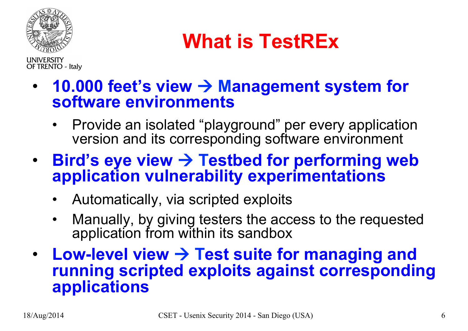

## **What is TestREx**

**UNIVERSITY OF TRENTO - Italy** 

- **10.000 feet's view** à **Management system for software environments** 
	- Provide an isolated "playground" per every application version and its corresponding software environment
- **Bird's eye view** à **Testbed for performing web application vulnerability experimentations** 
	- Automatically, via scripted exploits
	- Manually, by giving testers the access to the requested application from within its sandbox
- Low-level view  $\rightarrow$  Test suite for managing and **running scripted exploits against corresponding applications**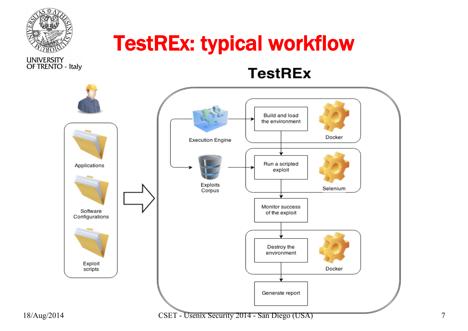

### TestREx: typical workflow

**UNIVERSITY** OF TRENTO - Italy

**TestREx** 



18/Aug/2014 CSET - Usenix Security 2014 - San Diego (USA) 7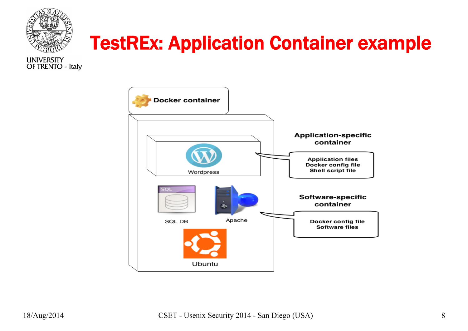



**UNIVERSITY** OF TRENTO - Italy

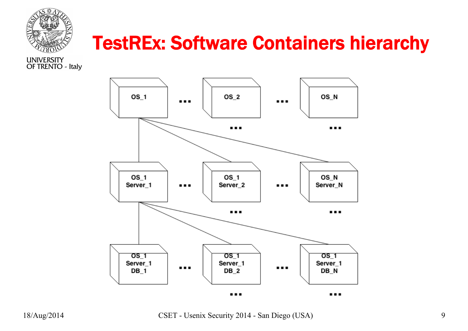

#### TestREx: Software Containers hierarchy

**UNIVERSITY** OF TRENTO - Italy



18/Aug/2014 CSET - Usenix Security 2014 - San Diego (USA) 9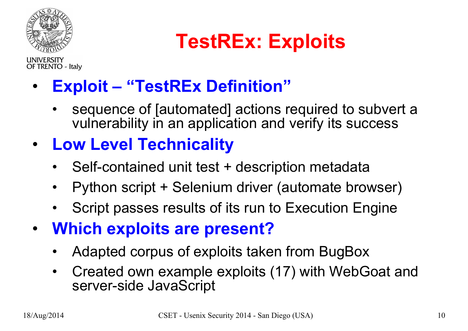

**UNIVERSITY** 

**TestREx: Exploits** 

OF TRENTO - Italy • **Exploit – "TestREx Definition"** 

- sequence of [automated] actions required to subvert a vulnerability in an application and verify its success
- **Low Level Technicality** 
	- Self-contained unit test + description metadata
	- Python script + Selenium driver (automate browser)
	- Script passes results of its run to Execution Engine
- **Which exploits are present?** 
	- Adapted corpus of exploits taken from BugBox
	- Created own example exploits (17) with WebGoat and server-side JavaScript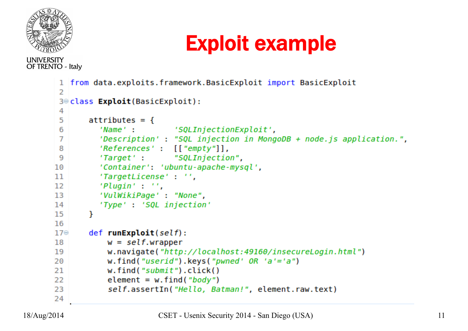

#### **UNIVERSITY OF TRENTO - Italy**

#### 1 from data.exploits.framework.BasicExploit import BasicExploit  $\overline{z}$ 3<sup>e</sup>class **Exploit**(BasicExploit): 4  $\mathsf{attributes} = \{$ 5 'Name': 'SQLInjectionExploit', 6  $'Description': "SQL injection in MonqoDB + node.is application."$ 7 8  $'References'$ :  $\lceil 'empty" \rceil$ . 'Target': "SQLInjection", 9 'Container': 'ubuntu-apache-mysql', 10 'TargetLicense': '', 11 12  $'Pluqin'$ :  $'$ . 'VulWikiPage': "None", 13 14 'Type': 'SQL injection' 15 ł 16  $17\odot$  $def$  runExploit(self): 18  $w = self$ w.navigate("http://localhost:49160/insecureLogin.html") 19 20 w.find("userid").keys("pwned'  $OR$  'a'='a") w.find("submit").click() 21 22 element =  $w.find("body")$ self.assertIn("Hello, Batman!", element.raw.text) 23 24

Exploit example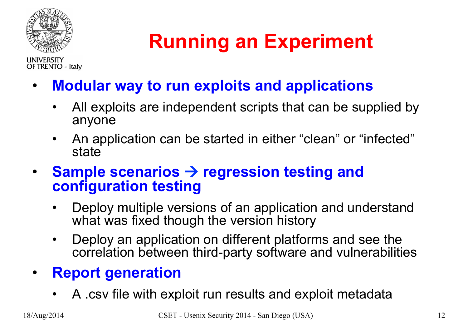

**LINIVERSITY** 

**OF TRENTO - Italy** 

**Running an Experiment** 

• **Modular way to run exploits and applications**

- All exploits are independent scripts that can be supplied by anyone
- An application can be started in either "clean" or "infected" state
- **Sample scenarios** à **regression testing and configuration testing**
	- Deploy multiple versions of an application and understand what was fixed though the version history
	- Deploy an application on different platforms and see the correlation between third-party software and vulnerabilities

#### • **Report generation**

• A .csv file with exploit run results and exploit metadata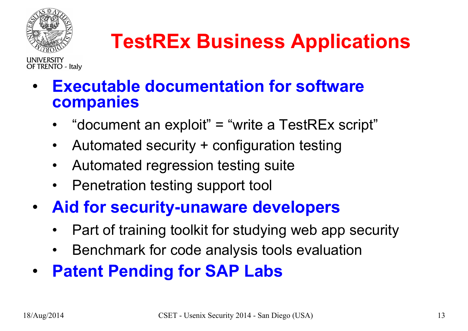

# **TestREx Business Applications**

**OF TRENTO - Italy** 

- **Executable documentation for software companies** 
	- "document an exploit" = "write a TestREx script"
	- Automated security + configuration testing
	- Automated regression testing suite
	- Penetration testing support tool
- **Aid for security-unaware developers**
	- Part of training toolkit for studying web app security
	- Benchmark for code analysis tools evaluation
- **Patent Pending for SAP Labs**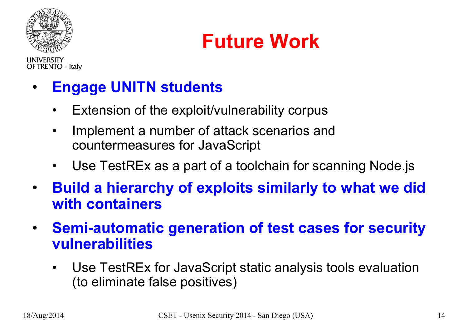

**OF TRENTO - Italy** 

**Future Work** 

• **Engage UNITN students** 

- Extension of the exploit/vulnerability corpus
- Implement a number of attack scenarios and countermeasures for JavaScript
- Use TestREx as a part of a toolchain for scanning Node.js
- **Build a hierarchy of exploits similarly to what we did with containers**
- **Semi-automatic generation of test cases for security vulnerabilities** 
	- Use TestREx for JavaScript static analysis tools evaluation (to eliminate false positives)